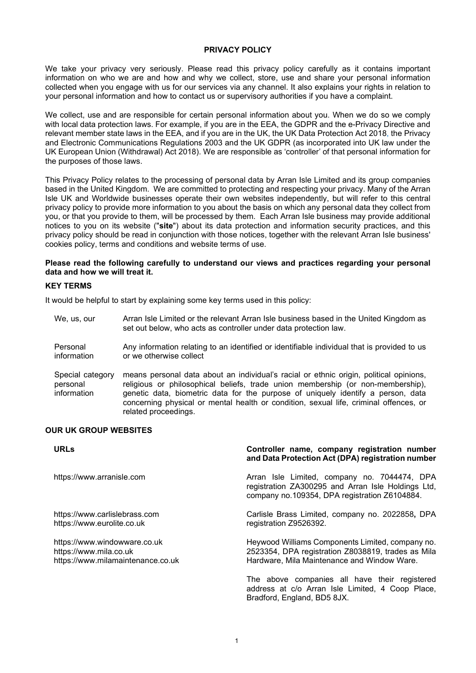### **PRIVACY POLICY**

We take your privacy very seriously. Please read this privacy policy carefully as it contains important information on who we are and how and why we collect, store, use and share your personal information collected when you engage with us for our services via any channel. It also explains your rights in relation to your personal information and how to contact us or supervisory authorities if you have a complaint.

We collect, use and are responsible for certain personal information about you. When we do so we comply with local data protection laws. For example, if you are in the EEA, the GDPR and the e-Privacy Directive and relevant member state laws in the EEA, and if you are in the UK, the UK Data Protection Act 2018, the Privacy and Electronic Communications Regulations 2003 and the UK GDPR (as incorporated into UK law under the UK European Union (Withdrawal) Act 2018). We are responsible as 'controller' of that personal information for the purposes of those laws.

This Privacy Policy relates to the processing of personal data by Arran Isle Limited and its group companies based in the United Kingdom. We are committed to protecting and respecting your privacy. Many of the Arran Isle UK and Worldwide businesses operate their own websites independently, but will refer to this central privacy policy to provide more information to you about the basis on which any personal data they collect from you, or that you provide to them, will be processed by them. Each Arran Isle business may provide additional notices to you on its website ("**site**") about its data protection and information security practices, and this privacy policy should be read in conjunction with those notices, together with the relevant Arran Isle business' cookies policy, terms and conditions and website terms of use.

#### **Please read the following carefully to understand our views and practices regarding your personal data and how we will treat it.**

#### **KEY TERMS**

It would be helpful to start by explaining some key terms used in this policy:

related proceedings.

We, us, our Arran Isle Limited or the relevant Arran Isle business based in the United Kingdom as set out below, who acts as controller under data protection law. Personal information Any information relating to an identified or identifiable individual that is provided to us or we otherwise collect Special category personal information means personal data about an individual's racial or ethnic origin, political opinions, religious or philosophical beliefs, trade union membership (or non-membership), genetic data, biometric data for the purpose of uniquely identify a person, data concerning physical or mental health or condition, sexual life, criminal offences, or

#### **OUR UK GROUP WEBSITES**

| <b>URLs</b>                                                                                 | Controller name, company registration number<br>and Data Protection Act (DPA) registration number                                                     |
|---------------------------------------------------------------------------------------------|-------------------------------------------------------------------------------------------------------------------------------------------------------|
| https://www.arranisle.com                                                                   | Arran Isle Limited, company no. 7044474, DPA<br>registration ZA300295 and Arran Isle Holdings Ltd,<br>company no.109354, DPA registration Z6104884.   |
| https://www.carlislebrass.com<br>https://www.eurolite.co.uk                                 | Carlisle Brass Limited, company no. 2022858, DPA<br>registration Z9526392.                                                                            |
| https://www.windowware.co.uk<br>https://www.mila.co.uk<br>https://www.milamaintenance.co.uk | Heywood Williams Components Limited, company no.<br>2523354, DPA registration Z8038819, trades as Mila<br>Hardware, Mila Maintenance and Window Ware. |
|                                                                                             | The above companies all have their registered<br>address at c/o Arran Isle Limited, 4 Coop Place,<br>Bradford, England, BD5 8JX.                      |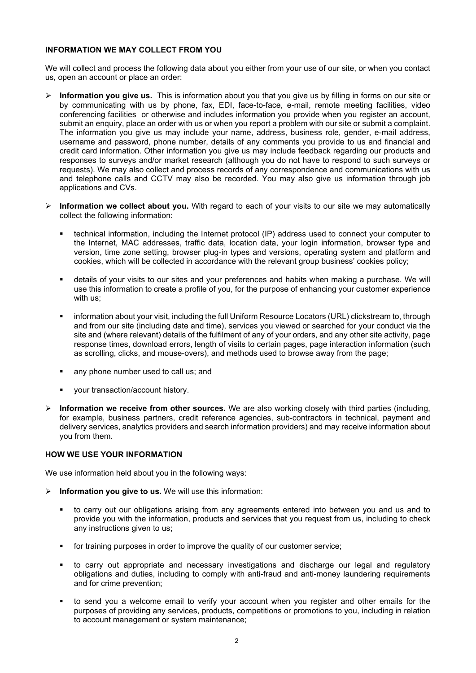### **INFORMATION WE MAY COLLECT FROM YOU**

We will collect and process the following data about you either from your use of our site, or when you contact us, open an account or place an order:

- **Information you give us.** This is information about you that you give us by filling in forms on our site or by communicating with us by phone, fax, EDI, face-to-face, e-mail, remote meeting facilities, video conferencing facilities or otherwise and includes information you provide when you register an account, submit an enquiry, place an order with us or when you report a problem with our site or submit a complaint. The information you give us may include your name, address, business role, gender, e-mail address, username and password, phone number, details of any comments you provide to us and financial and credit card information. Other information you give us may include feedback regarding our products and responses to surveys and/or market research (although you do not have to respond to such surveys or requests). We may also collect and process records of any correspondence and communications with us and telephone calls and CCTV may also be recorded. You may also give us information through job applications and CVs.
- **Information we collect about you.** With regard to each of your visits to our site we may automatically collect the following information:
	- technical information, including the Internet protocol (IP) address used to connect your computer to the Internet, MAC addresses, traffic data, location data, your login information, browser type and version, time zone setting, browser plug-in types and versions, operating system and platform and cookies, which will be collected in accordance with the relevant group business' cookies policy;
	- details of your visits to our sites and your preferences and habits when making a purchase. We will use this information to create a profile of you, for the purpose of enhancing your customer experience with us;
	- information about your visit, including the full Uniform Resource Locators (URL) clickstream to, through and from our site (including date and time), services you viewed or searched for your conduct via the site and (where relevant) details of the fulfilment of any of your orders, and any other site activity, page response times, download errors, length of visits to certain pages, page interaction information (such as scrolling, clicks, and mouse-overs), and methods used to browse away from the page;
	- any phone number used to call us; and
	- your transaction/account history.
- **Information we receive from other sources.** We are also working closely with third parties (including, for example, business partners, credit reference agencies, sub-contractors in technical, payment and delivery services, analytics providers and search information providers) and may receive information about you from them.

## **HOW WE USE YOUR INFORMATION**

We use information held about you in the following ways:

- **Information you give to us.** We will use this information:
	- to carry out our obligations arising from any agreements entered into between you and us and to provide you with the information, products and services that you request from us, including to check any instructions given to us;
	- **for training purposes in order to improve the quality of our customer service;**
	- to carry out appropriate and necessary investigations and discharge our legal and regulatory obligations and duties, including to comply with anti-fraud and anti-money laundering requirements and for crime prevention;
	- to send you a welcome email to verify your account when you register and other emails for the purposes of providing any services, products, competitions or promotions to you, including in relation to account management or system maintenance;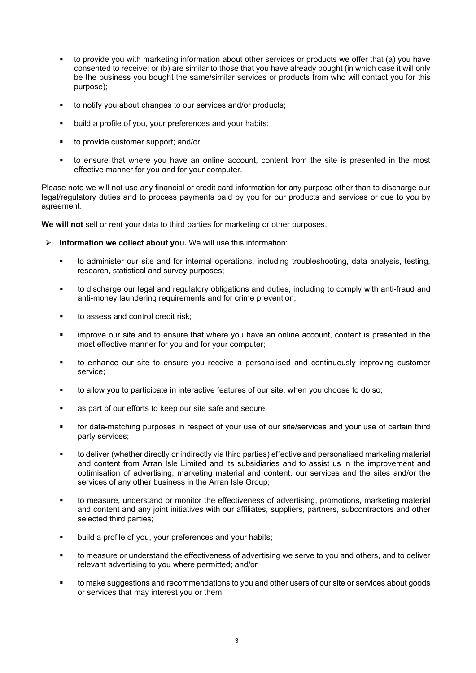- to provide you with marketing information about other services or products we offer that (a) you have consented to receive; or (b) are similar to those that you have already bought (in which case it will only be the business you bought the same/similar services or products from who will contact you for this purpose);
- to notify you about changes to our services and/or products;
- build a profile of you, your preferences and your habits;
- to provide customer support; and/or
- to ensure that where you have an online account, content from the site is presented in the most effective manner for you and for your computer.

Please note we will not use any financial or credit card information for any purpose other than to discharge our legal/regulatory duties and to process payments paid by you for our products and services or due to you by agreement.

**We will not** sell or rent your data to third parties for marketing or other purposes.

- **Information we collect about you.** We will use this information:
	- to administer our site and for internal operations, including troubleshooting, data analysis, testing, research, statistical and survey purposes;
	- to discharge our legal and regulatory obligations and duties, including to comply with anti-fraud and anti-money laundering requirements and for crime prevention;
	- to assess and control credit risk;
	- improve our site and to ensure that where you have an online account, content is presented in the most effective manner for you and for your computer;
	- to enhance our site to ensure you receive a personalised and continuously improving customer service;
	- to allow you to participate in interactive features of our site, when you choose to do so;
	- as part of our efforts to keep our site safe and secure;
	- for data-matching purposes in respect of your use of our site/services and your use of certain third party services;
	- to deliver (whether directly or indirectly via third parties) effective and personalised marketing material and content from Arran Isle Limited and its subsidiaries and to assist us in the improvement and optimisation of advertising, marketing material and content, our services and the sites and/or the services of any other business in the Arran Isle Group;
	- to measure, understand or monitor the effectiveness of advertising, promotions, marketing material and content and any joint initiatives with our affiliates, suppliers, partners, subcontractors and other selected third parties;
	- **•** build a profile of you, your preferences and your habits;
	- to measure or understand the effectiveness of advertising we serve to you and others, and to deliver relevant advertising to you where permitted; and/or
	- to make suggestions and recommendations to you and other users of our site or services about goods or services that may interest you or them.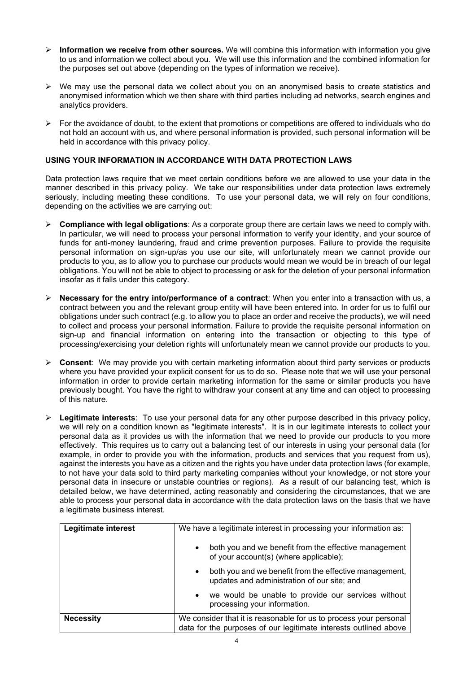- **Information we receive from other sources.** We will combine this information with information you give to us and information we collect about you. We will use this information and the combined information for the purposes set out above (depending on the types of information we receive).
- $\triangleright$  We may use the personal data we collect about you on an anonymised basis to create statistics and anonymised information which we then share with third parties including ad networks, search engines and analytics providers.
- $\triangleright$  For the avoidance of doubt, to the extent that promotions or competitions are offered to individuals who do not hold an account with us, and where personal information is provided, such personal information will be held in accordance with this privacy policy.

# **USING YOUR INFORMATION IN ACCORDANCE WITH DATA PROTECTION LAWS**

Data protection laws require that we meet certain conditions before we are allowed to use your data in the manner described in this privacy policy. We take our responsibilities under data protection laws extremely seriously, including meeting these conditions. To use your personal data, we will rely on four conditions, depending on the activities we are carrying out:

- **Compliance with legal obligations**: As a corporate group there are certain laws we need to comply with. In particular, we will need to process your personal information to verify your identity, and your source of funds for anti-money laundering, fraud and crime prevention purposes. Failure to provide the requisite personal information on sign-up/as you use our site, will unfortunately mean we cannot provide our products to you, as to allow you to purchase our products would mean we would be in breach of our legal obligations. You will not be able to object to processing or ask for the deletion of your personal information insofar as it falls under this category.
- **Necessary for the entry into/performance of a contract**: When you enter into a transaction with us, a contract between you and the relevant group entity will have been entered into. In order for us to fulfil our obligations under such contract (e.g. to allow you to place an order and receive the products), we will need to collect and process your personal information. Failure to provide the requisite personal information on sign-up and financial information on entering into the transaction or objecting to this type of processing/exercising your deletion rights will unfortunately mean we cannot provide our products to you.
- **Consent**: We may provide you with certain marketing information about third party services or products where you have provided your explicit consent for us to do so. Please note that we will use your personal information in order to provide certain marketing information for the same or similar products you have previously bought. You have the right to withdraw your consent at any time and can object to processing of this nature.
- **Legitimate interests**: To use your personal data for any other purpose described in this privacy policy, we will rely on a condition known as "legitimate interests". It is in our legitimate interests to collect your personal data as it provides us with the information that we need to provide our products to you more effectively. This requires us to carry out a balancing test of our interests in using your personal data (for example, in order to provide you with the information, products and services that you request from us), against the interests you have as a citizen and the rights you have under data protection laws (for example, to not have your data sold to third party marketing companies without your knowledge, or not store your personal data in insecure or unstable countries or regions). As a result of our balancing test, which is detailed below, we have determined, acting reasonably and considering the circumstances, that we are able to process your personal data in accordance with the data protection laws on the basis that we have a legitimate business interest.

| Legitimate interest | We have a legitimate interest in processing your information as:                                                                      |  |
|---------------------|---------------------------------------------------------------------------------------------------------------------------------------|--|
|                     | both you and we benefit from the effective management<br>$\bullet$<br>of your account(s) (where applicable);                          |  |
|                     | both you and we benefit from the effective management,<br>$\bullet$<br>updates and administration of our site; and                    |  |
|                     | we would be unable to provide our services without<br>processing your information.                                                    |  |
| <b>Necessity</b>    | We consider that it is reasonable for us to process your personal<br>data for the purposes of our legitimate interests outlined above |  |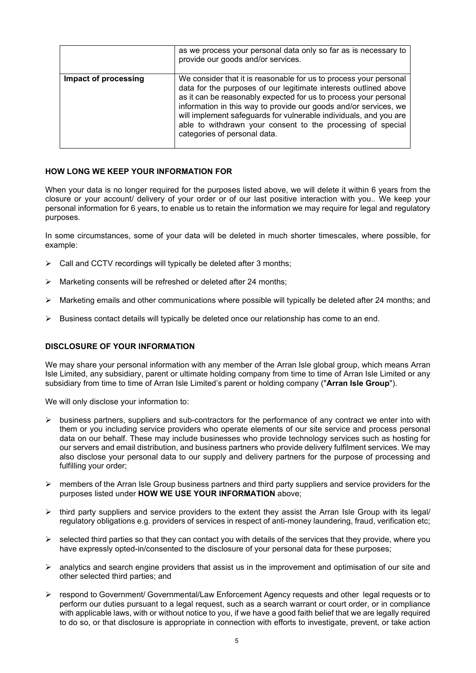|                      | as we process your personal data only so far as is necessary to<br>provide our goods and/or services.                                                                                                                                                                                                                                                                                                                                             |
|----------------------|---------------------------------------------------------------------------------------------------------------------------------------------------------------------------------------------------------------------------------------------------------------------------------------------------------------------------------------------------------------------------------------------------------------------------------------------------|
| Impact of processing | We consider that it is reasonable for us to process your personal<br>data for the purposes of our legitimate interests outlined above<br>as it can be reasonably expected for us to process your personal<br>information in this way to provide our goods and/or services, we<br>will implement safeguards for vulnerable individuals, and you are<br>able to withdrawn your consent to the processing of special<br>categories of personal data. |

# **HOW LONG WE KEEP YOUR INFORMATION FOR**

When your data is no longer required for the purposes listed above, we will delete it within 6 years from the closure or your account/ delivery of your order or of our last positive interaction with you.. We keep your personal information for 6 years, to enable us to retain the information we may require for legal and regulatory purposes.

In some circumstances, some of your data will be deleted in much shorter timescales, where possible, for example:

- $\triangleright$  Call and CCTV recordings will typically be deleted after 3 months;
- $\triangleright$  Marketing consents will be refreshed or deleted after 24 months;
- $\triangleright$  Marketing emails and other communications where possible will typically be deleted after 24 months; and
- $\triangleright$  Business contact details will typically be deleted once our relationship has come to an end.

## **DISCLOSURE OF YOUR INFORMATION**

We may share your personal information with any member of the Arran Isle global group, which means Arran Isle Limited, any subsidiary, parent or ultimate holding company from time to time of Arran Isle Limited or any subsidiary from time to time of Arran Isle Limited's parent or holding company ("**Arran Isle Group**").

We will only disclose your information to:

- $\triangleright$  business partners, suppliers and sub-contractors for the performance of any contract we enter into with them or you including service providers who operate elements of our site service and process personal data on our behalf. These may include businesses who provide technology services such as hosting for our servers and email distribution, and business partners who provide delivery fulfilment services. We may also disclose your personal data to our supply and delivery partners for the purpose of processing and fulfilling your order;
- $\triangleright$  members of the Arran Isle Group business partners and third party suppliers and service providers for the purposes listed under **HOW WE USE YOUR INFORMATION** above;
- $\triangleright$  third party suppliers and service providers to the extent they assist the Arran Isle Group with its legal/ regulatory obligations e.g. providers of services in respect of anti-money laundering, fraud, verification etc;
- $\triangleright$  selected third parties so that they can contact you with details of the services that they provide, where you have expressly opted-in/consented to the disclosure of your personal data for these purposes;
- $\triangleright$  analytics and search engine providers that assist us in the improvement and optimisation of our site and other selected third parties; and
- $\triangleright$  respond to Government/ Governmental/Law Enforcement Agency requests and other legal requests or to perform our duties pursuant to a legal request, such as a search warrant or court order, or in compliance with applicable laws, with or without notice to you, if we have a good faith belief that we are legally required to do so, or that disclosure is appropriate in connection with efforts to investigate, prevent, or take action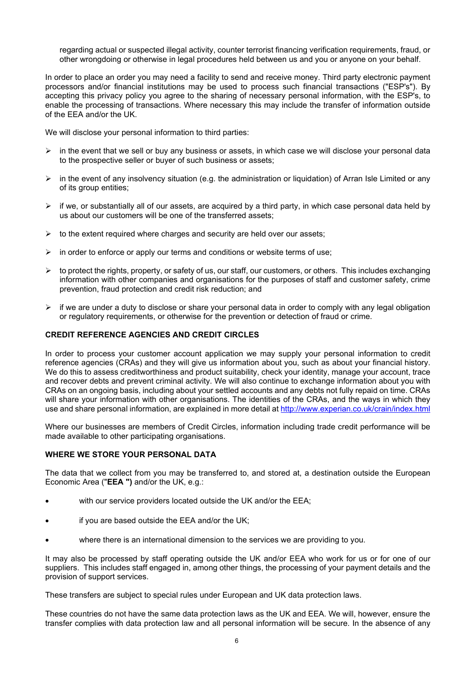regarding actual or suspected illegal activity, counter terrorist financing verification requirements, fraud, or other wrongdoing or otherwise in legal procedures held between us and you or anyone on your behalf.

In order to place an order you may need a facility to send and receive money. Third party electronic payment processors and/or financial institutions may be used to process such financial transactions ("ESP's"). By accepting this privacy policy you agree to the sharing of necessary personal information, with the ESP's, to enable the processing of transactions. Where necessary this may include the transfer of information outside of the EEA and/or the UK.

We will disclose your personal information to third parties:

- $\triangleright$  in the event that we sell or buy any business or assets, in which case we will disclose your personal data to the prospective seller or buyer of such business or assets;
- $\triangleright$  in the event of any insolvency situation (e.g. the administration or liquidation) of Arran Isle Limited or any of its group entities;
- $\triangleright$  if we, or substantially all of our assets, are acquired by a third party, in which case personal data held by us about our customers will be one of the transferred assets;
- $\triangleright$  to the extent required where charges and security are held over our assets;
- $\triangleright$  in order to enforce or apply our terms and conditions or website terms of use;
- to protect the rights, property, or safety of us, our staff, our customers, or others. This includes exchanging information with other companies and organisations for the purposes of staff and customer safety, crime prevention, fraud protection and credit risk reduction; and
- $\triangleright$  if we are under a duty to disclose or share your personal data in order to comply with any legal obligation or regulatory requirements, or otherwise for the prevention or detection of fraud or crime.

## **CREDIT REFERENCE AGENCIES AND CREDIT CIRCLES**

In order to process your customer account application we may supply your personal information to credit reference agencies (CRAs) and they will give us information about you, such as about your financial history. We do this to assess creditworthiness and product suitability, check your identity, manage your account, trace and recover debts and prevent criminal activity. We will also continue to exchange information about you with CRAs on an ongoing basis, including about your settled accounts and any debts not fully repaid on time. CRAs will share your information with other organisations. The identities of the CRAs, and the ways in which they use and share personal information, are explained in more detail at<http://www.experian.co.uk/crain/index.html>

Where our businesses are members of Credit Circles, information including trade credit performance will be made available to other participating organisations.

### **WHERE WE STORE YOUR PERSONAL DATA**

The data that we collect from you may be transferred to, and stored at, a destination outside the European Economic Area ("**EEA ")** and/or the UK, e.g.:

- with our service providers located outside the UK and/or the EEA;
- if you are based outside the EEA and/or the UK;
- where there is an international dimension to the services we are providing to you.

It may also be processed by staff operating outside the UK and/or EEA who work for us or for one of our suppliers. This includes staff engaged in, among other things, the processing of your payment details and the provision of support services.

These transfers are subject to special rules under European and UK data protection laws.

These countries do not have the same data protection laws as the UK and EEA. We will, however, ensure the transfer complies with data protection law and all personal information will be secure. In the absence of any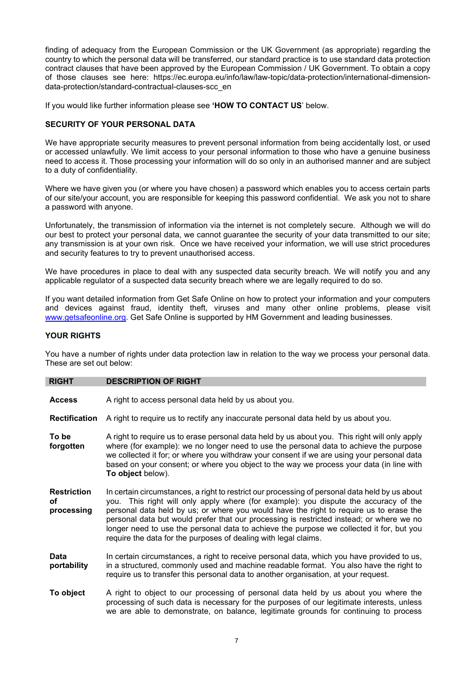finding of adequacy from the European Commission or the UK Government (as appropriate) regarding the country to which the personal data will be transferred, our standard practice is to use standard data protection contract clauses that have been approved by the European Commission / UK Government. To obtain a copy of those clauses see here: https://ec.europa.eu/info/law/law-topic/data-protection/international-dimensiondata-protection/standard-contractual-clauses-scc\_en

If you would like further information please see **'HOW TO CONTACT US**' below.

# **SECURITY OF YOUR PERSONAL DATA**

We have appropriate security measures to prevent personal information from being accidentally lost, or used or accessed unlawfully. We limit access to your personal information to those who have a genuine business need to access it. Those processing your information will do so only in an authorised manner and are subject to a duty of confidentiality.

Where we have given you (or where you have chosen) a password which enables you to access certain parts of our site/your account, you are responsible for keeping this password confidential. We ask you not to share a password with anyone.

Unfortunately, the transmission of information via the internet is not completely secure. Although we will do our best to protect your personal data, we cannot guarantee the security of your data transmitted to our site; any transmission is at your own risk. Once we have received your information, we will use strict procedures and security features to try to prevent unauthorised access.

We have procedures in place to deal with any suspected data security breach. We will notify you and any applicable regulator of a suspected data security breach where we are legally required to do so.

If you want detailed information from Get Safe Online on how to protect your information and your computers and devices against fraud, identity theft, viruses and many other online problems, please visit [www.getsafeonline.org.](http://www.getsafeonline.org/) Get Safe Online is supported by HM Government and leading businesses.

## **YOUR RIGHTS**

You have a number of rights under data protection law in relation to the way we process your personal data. These are set out below:

### **RIGHT DESCRIPTION OF RIGHT**

**Access** A right to access personal data held by us about you.

**Rectification** A right to require us to rectify any inaccurate personal data held by us about you.

- **To be forgotten** A right to require us to erase personal data held by us about you. This right will only apply where (for example): we no longer need to use the personal data to achieve the purpose we collected it for; or where you withdraw your consent if we are using your personal data based on your consent; or where you object to the way we process your data (in line with **To object** below).
- **Restriction of processing** In certain circumstances, a right to restrict our processing of personal data held by us about you. This right will only apply where (for example): you dispute the accuracy of the personal data held by us; or where you would have the right to require us to erase the personal data but would prefer that our processing is restricted instead; or where we no longer need to use the personal data to achieve the purpose we collected it for, but you require the data for the purposes of dealing with legal claims.
- **Data portability** In certain circumstances, a right to receive personal data, which you have provided to us, in a structured, commonly used and machine readable format. You also have the right to require us to transfer this personal data to another organisation, at your request.
- **To object** A right to object to our processing of personal data held by us about you where the processing of such data is necessary for the purposes of our legitimate interests, unless we are able to demonstrate, on balance, legitimate grounds for continuing to process